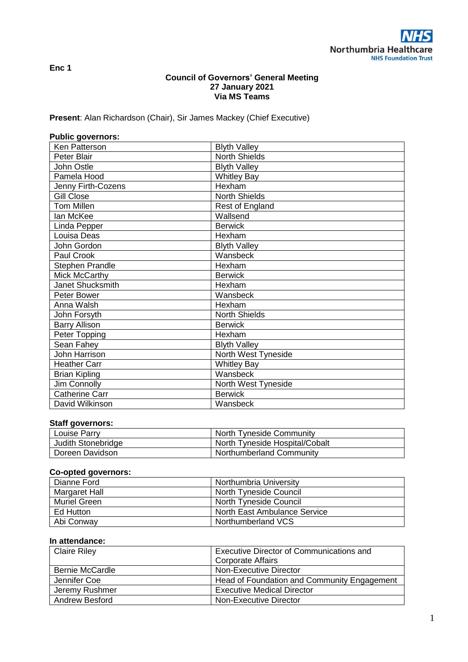**Enc 1**

# **Council of Governors' General Meeting 27 January 2021 Via MS Teams**

**Present**: Alan Richardson (Chair), Sir James Mackey (Chief Executive)

| <b>Public governors:</b> |                      |
|--------------------------|----------------------|
| Ken Patterson            | <b>Blyth Valley</b>  |
| Peter Blair              | North Shields        |
| John Ostle               | <b>Blyth Valley</b>  |
| Pamela Hood              | <b>Whitley Bay</b>   |
| Jenny Firth-Cozens       | Hexham               |
| <b>Gill Close</b>        | <b>North Shields</b> |
| <b>Tom Millen</b>        | Rest of England      |
| lan McKee                | Wallsend             |
| Linda Pepper             | <b>Berwick</b>       |
| Louisa Deas              | Hexham               |
| John Gordon              | <b>Blyth Valley</b>  |
| Paul Crook               | Wansbeck             |
| Stephen Prandle          | Hexham               |
| Mick McCarthy            | <b>Berwick</b>       |
| Janet Shucksmith         | Hexham               |
| Peter Bower              | Wansbeck             |
| Anna Walsh               | Hexham               |
| John Forsyth             | <b>North Shields</b> |
| <b>Barry Allison</b>     | <b>Berwick</b>       |
| Peter Topping            | Hexham               |
| Sean Fahey               | <b>Blyth Valley</b>  |
| <b>John Harrison</b>     | North West Tyneside  |
| <b>Heather Carr</b>      | <b>Whitley Bay</b>   |
| <b>Brian Kipling</b>     | Wansbeck             |
| Jim Connolly             | North West Tyneside  |
| <b>Catherine Carr</b>    | <b>Berwick</b>       |
| David Wilkinson          | Wansbeck             |

# **Staff governors:**

| Louise Parry       | North Tyneside Community        |
|--------------------|---------------------------------|
| Judith Stonebridge | North Tyneside Hospital/Cobalt  |
| Doreen Davidson    | <b>Northumberland Community</b> |

# **Co-opted governors:**

| Dianne Ford   | Northumbria University        |
|---------------|-------------------------------|
| Margaret Hall | <b>North Tyneside Council</b> |
| Muriel Green  | North Tyneside Council        |
| Ed Hutton     | North East Ambulance Service  |
| Abi Conway    | Northumberland VCS            |

# **In attendance:**

| <b>Claire Riley</b>    | <b>Executive Director of Communications and</b> |
|------------------------|-------------------------------------------------|
|                        | <b>Corporate Affairs</b>                        |
| <b>Bernie McCardle</b> | Non-Executive Director                          |
| Jennifer Coe           | Head of Foundation and Community Engagement     |
| Jeremy Rushmer         | <b>Executive Medical Director</b>               |
| <b>Andrew Besford</b>  | Non-Executive Director                          |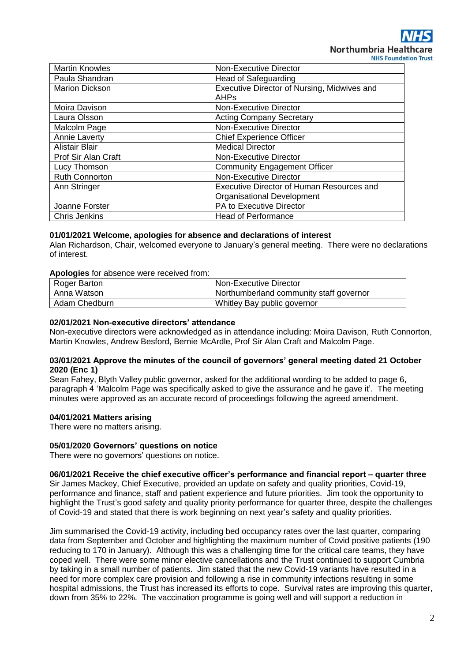| <b>Martin Knowles</b> | Non-Executive Director                           |
|-----------------------|--------------------------------------------------|
| Paula Shandran        | Head of Safeguarding                             |
| <b>Marion Dickson</b> | Executive Director of Nursing, Midwives and      |
|                       | <b>AHPs</b>                                      |
| Moira Davison         | Non-Executive Director                           |
| Laura Olsson          | <b>Acting Company Secretary</b>                  |
| Malcolm Page          | Non-Executive Director                           |
| Annie Laverty         | <b>Chief Experience Officer</b>                  |
| <b>Alistair Blair</b> | <b>Medical Director</b>                          |
| Prof Sir Alan Craft   | Non-Executive Director                           |
| Lucy Thomson          | <b>Community Engagement Officer</b>              |
| <b>Ruth Connorton</b> | <b>Non-Executive Director</b>                    |
| Ann Stringer          | <b>Executive Director of Human Resources and</b> |
|                       | <b>Organisational Development</b>                |
| Joanne Forster        | PA to Executive Director                         |
| <b>Chris Jenkins</b>  | <b>Head of Performance</b>                       |

## **01/01/2021 Welcome, apologies for absence and declarations of interest**

Alan Richardson, Chair, welcomed everyone to January's general meeting. There were no declarations of interest.

#### **Apologies** for absence were received from:

| Roger Barton  | Non-Executive Director                  |
|---------------|-----------------------------------------|
| Anna Watson   | Northumberland community staff governor |
| Adam Chedburn | Whitley Bay public governor             |

# **02/01/2021 Non-executive directors' attendance**

Non-executive directors were acknowledged as in attendance including: Moira Davison, Ruth Connorton, Martin Knowles, Andrew Besford, Bernie McArdle, Prof Sir Alan Craft and Malcolm Page.

## **03/01/2021 Approve the minutes of the council of governors' general meeting dated 21 October 2020 (Enc 1)**

Sean Fahey, Blyth Valley public governor, asked for the additional wording to be added to page 6, paragraph 4 'Malcolm Page was specifically asked to give the assurance and he gave it'. The meeting minutes were approved as an accurate record of proceedings following the agreed amendment.

# **04/01/2021 Matters arising**

There were no matters arising.

#### **05/01/2020 Governors' questions on notice**

There were no governors' questions on notice.

#### **06/01/2021 Receive the chief executive officer's performance and financial report – quarter three**

Sir James Mackey, Chief Executive, provided an update on safety and quality priorities, Covid-19, performance and finance, staff and patient experience and future priorities. Jim took the opportunity to highlight the Trust's good safety and quality priority performance for quarter three, despite the challenges of Covid-19 and stated that there is work beginning on next year's safety and quality priorities.

Jim summarised the Covid-19 activity, including bed occupancy rates over the last quarter, comparing data from September and October and highlighting the maximum number of Covid positive patients (190 reducing to 170 in January). Although this was a challenging time for the critical care teams, they have coped well. There were some minor elective cancellations and the Trust continued to support Cumbria by taking in a small number of patients. Jim stated that the new Covid-19 variants have resulted in a need for more complex care provision and following a rise in community infections resulting in some hospital admissions, the Trust has increased its efforts to cope. Survival rates are improving this quarter, down from 35% to 22%. The vaccination programme is going well and will support a reduction in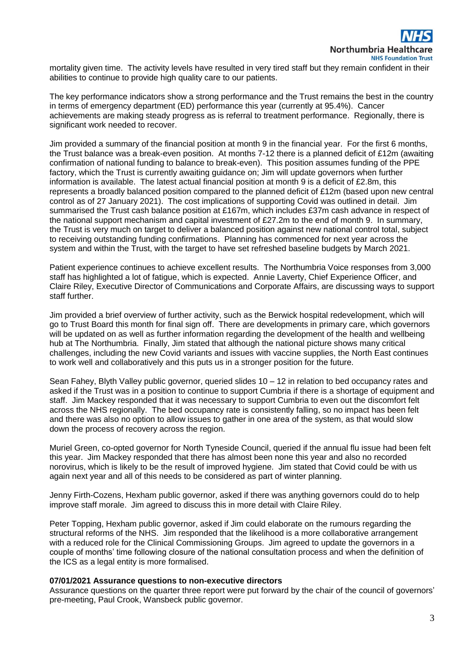mortality given time. The activity levels have resulted in very tired staff but they remain confident in their abilities to continue to provide high quality care to our patients.

The key performance indicators show a strong performance and the Trust remains the best in the country in terms of emergency department (ED) performance this year (currently at 95.4%). Cancer achievements are making steady progress as is referral to treatment performance. Regionally, there is significant work needed to recover.

Jim provided a summary of the financial position at month 9 in the financial year. For the first 6 months, the Trust balance was a break-even position. At months 7-12 there is a planned deficit of £12m (awaiting confirmation of national funding to balance to break-even). This position assumes funding of the PPE factory, which the Trust is currently awaiting guidance on; Jim will update governors when further information is available. The latest actual financial position at month 9 is a deficit of £2.8m, this represents a broadly balanced position compared to the planned deficit of £12m (based upon new central control as of 27 January 2021). The cost implications of supporting Covid was outlined in detail. Jim summarised the Trust cash balance position at £167m, which includes £37m cash advance in respect of the national support mechanism and capital investment of £27.2m to the end of month 9. In summary, the Trust is very much on target to deliver a balanced position against new national control total, subject to receiving outstanding funding confirmations. Planning has commenced for next year across the system and within the Trust, with the target to have set refreshed baseline budgets by March 2021.

Patient experience continues to achieve excellent results. The Northumbria Voice responses from 3,000 staff has highlighted a lot of fatigue, which is expected. Annie Laverty, Chief Experience Officer, and Claire Riley, Executive Director of Communications and Corporate Affairs, are discussing ways to support staff further.

Jim provided a brief overview of further activity, such as the Berwick hospital redevelopment, which will go to Trust Board this month for final sign off. There are developments in primary care, which governors will be updated on as well as further information regarding the development of the health and wellbeing hub at The Northumbria. Finally, Jim stated that although the national picture shows many critical challenges, including the new Covid variants and issues with vaccine supplies, the North East continues to work well and collaboratively and this puts us in a stronger position for the future.

Sean Fahey, Blyth Valley public governor, queried slides 10 – 12 in relation to bed occupancy rates and asked if the Trust was in a position to continue to support Cumbria if there is a shortage of equipment and staff. Jim Mackey responded that it was necessary to support Cumbria to even out the discomfort felt across the NHS regionally. The bed occupancy rate is consistently falling, so no impact has been felt and there was also no option to allow issues to gather in one area of the system, as that would slow down the process of recovery across the region.

Muriel Green, co-opted governor for North Tyneside Council, queried if the annual flu issue had been felt this year. Jim Mackey responded that there has almost been none this year and also no recorded norovirus, which is likely to be the result of improved hygiene. Jim stated that Covid could be with us again next year and all of this needs to be considered as part of winter planning.

Jenny Firth-Cozens, Hexham public governor, asked if there was anything governors could do to help improve staff morale. Jim agreed to discuss this in more detail with Claire Riley.

Peter Topping, Hexham public governor, asked if Jim could elaborate on the rumours regarding the structural reforms of the NHS. Jim responded that the likelihood is a more collaborative arrangement with a reduced role for the Clinical Commissioning Groups. Jim agreed to update the governors in a couple of months' time following closure of the national consultation process and when the definition of the ICS as a legal entity is more formalised.

#### **07/01/2021 Assurance questions to non-executive directors**

Assurance questions on the quarter three report were put forward by the chair of the council of governors' pre-meeting, Paul Crook, Wansbeck public governor.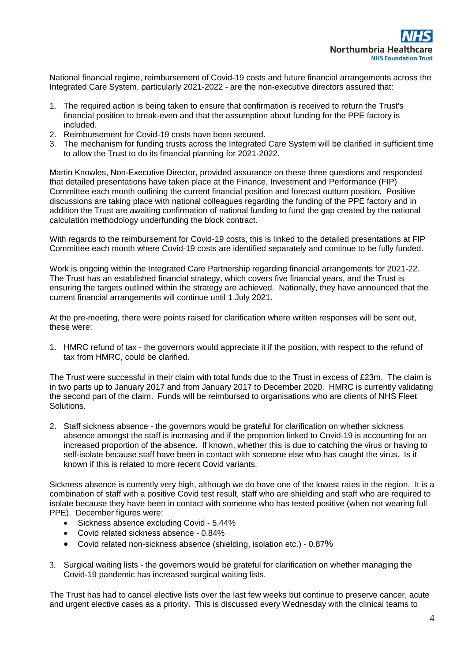National financial regime, reimbursement of Covid-19 costs and future financial arrangements across the Integrated Care System, particularly 2021-2022 - are the non-executive directors assured that:

- 1. The required action is being taken to ensure that confirmation is received to return the Trust's financial position to break-even and that the assumption about funding for the PPE factory is included.
- 2. Reimbursement for Covid-19 costs have been secured.
- 3. The mechanism for funding trusts across the Integrated Care System will be clarified in sufficient time to allow the Trust to do its financial planning for 2021-2022.

Martin Knowles, Non-Executive Director, provided assurance on these three questions and responded that detailed presentations have taken place at the Finance, Investment and Performance (FIP) Committee each month outlining the current financial position and forecast outturn position. Positive discussions are taking place with national colleagues regarding the funding of the PPE factory and in addition the Trust are awaiting confirmation of national funding to fund the gap created by the national calculation methodology underfunding the block contract.

With regards to the reimbursement for Covid-19 costs, this is linked to the detailed presentations at FIP Committee each month where Covid-19 costs are identified separately and continue to be fully funded.

Work is ongoing within the Integrated Care Partnership regarding financial arrangements for 2021-22. The Trust has an established financial strategy, which covers five financial years, and the Trust is ensuring the targets outlined within the strategy are achieved. Nationally, they have announced that the current financial arrangements will continue until 1 July 2021.

At the pre-meeting, there were points raised for clarification where written responses will be sent out, these were:

1. HMRC refund of tax - the governors would appreciate it if the position, with respect to the refund of tax from HMRC, could be clarified.

The Trust were successful in their claim with total funds due to the Trust in excess of £23m. The claim is in two parts up to January 2017 and from January 2017 to December 2020. HMRC is currently validating the second part of the claim. Funds will be reimbursed to organisations who are clients of NHS Fleet Solutions.

2. Staff sickness absence - the governors would be grateful for clarification on whether sickness absence amongst the staff is increasing and if the proportion linked to Covid-19 is accounting for an increased proportion of the absence. If known, whether this is due to catching the virus or having to self-isolate because staff have been in contact with someone else who has caught the virus. Is it known if this is related to more recent Covid variants.

Sickness absence is currently very high, although we do have one of the lowest rates in the region. It is a combination of staff with a positive Covid test result, staff who are shielding and staff who are required to isolate because they have been in contact with someone who has tested positive (when not wearing full PPE). December figures were:

- Sickness absence excluding Covid 5.44%
- Covid related sickness absence 0.84%
- Covid related non-sickness absence (shielding, isolation etc.) 0.87%
- 3. Surgical waiting lists the governors would be grateful for clarification on whether managing the Covid-19 pandemic has increased surgical waiting lists.

The Trust has had to cancel elective lists over the last few weeks but continue to preserve cancer, acute and urgent elective cases as a priority. This is discussed every Wednesday with the clinical teams to